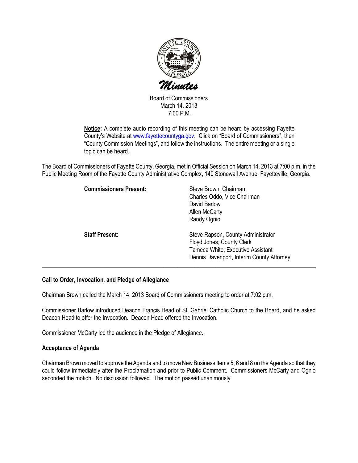

Board of Commissioners March 14, 2013 7:00 P.M.

Notice: A complete audio recording of this meeting can be heard by accessing Fayette County's Website at www.fayettecountyga.gov. Click on "Board of Commissioners", then "County Commission Meetings", and follow the instructions. The entire meeting or a single topic can be heard.

The Board of Commissioners of Fayette County, Georgia, met in Official Session on March 14, 2013 at 7:00 p.m. in the Public Meeting Room of the Fayette County Administrative Complex, 140 Stonewall Avenue, Fayetteville, Georgia.

| <b>Commissioners Present:</b> | Steve Brown, Chairman<br>Charles Oddo, Vice Chairman<br>David Barlow<br>Allen McCarty<br>Randy Ognio                                              |
|-------------------------------|---------------------------------------------------------------------------------------------------------------------------------------------------|
| <b>Staff Present:</b>         | Steve Rapson, County Administrator<br>Floyd Jones, County Clerk<br>Tameca White, Executive Assistant<br>Dennis Davenport, Interim County Attorney |

### Call to Order, Invocation, and Pledge of Allegiance

Chairman Brown called the March 14, 2013 Board of Commissioners meeting to order at 7:02 p.m.

Commissioner Barlow introduced Deacon Francis Head of St. Gabriel Catholic Church to the Board, and he asked Deacon Head to offer the Invocation. Deacon Head offered the Invocation.

Commissioner McCarty led the audience in the Pledge of Allegiance.

### Acceptance of Agenda

Chairman Brown moved to approve the Agenda and to move New Business Items 5, 6 and 8 on the Agenda so that they could follow immediately after the Proclamation and prior to Public Comment. Commissioners McCarty and Ognio seconded the motion. No discussion followed. The motion passed unanimously.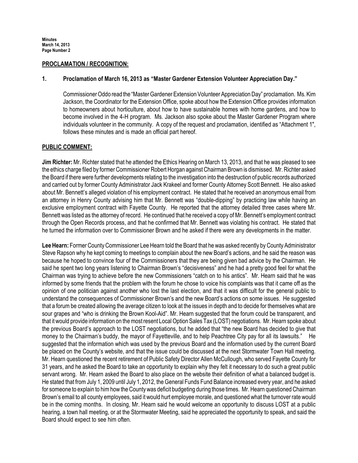### PROCLAMATION / RECOGNITION:

### 1. Proclamation of March 16, 2013 as "Master Gardener Extension Volunteer Appreciation Day."

Commissioner Oddo read the "Master Gardener Extension Volunteer Appreciation Day" proclamation. Ms. Kim Jackson, the Coordinator for the Extension Office, spoke about how the Extension Office provides information to homeowners about horticulture, about how to have sustainable homes with home gardens, and how to become involved in the 4-H program. Ms. Jackson also spoke about the Master Gardener Program where individuals volunteer in the community. A copy of the request and proclamation, identified as "Attachment 1", follows these minutes and is made an official part hereof.

### PUBLIC COMMENT:

Jim Richter: Mr. Richter stated that he attended the Ethics Hearing on March 13, 2013, and that he was pleased to see the ethics charge filed by former Commissioner Robert Horgan against Chairman Brown is dismissed. Mr. Richter asked the Board if there were further developments relating to the investigation into the destruction of public records authorized and carried out by former County Administrator Jack Krakeel and former County Attorney Scott Bennett. He also asked about Mr. Bennett's alleged violation of his employment contract. He stated that he received an anonymous email from an attorney in Henry County advising him that Mr. Bennett was "double-dipping" by practicing law while having an exclusive employment contract with Fayette County. He reported that the attorney detailed three cases where Mr. Bennett was listed as the attorney of record. He continued that he received a copy of Mr. Bennett's employment contract through the Open Records process, and that he confirmed that Mr. Bennett was violating his contract. He stated that he turned the information over to Commissioner Brown and he asked if there were any developments in the matter.

Lee Hearn: Former County Commissioner Lee Hearn told the Board that he was asked recently by County Administrator Steve Rapson why he kept coming to meetings to complain about the new Board's actions, and he said the reason was because he hoped to convince four of the Commissioners that they are being given bad advice by the Chairman. He said he spent two long years listening to Chairman Brown's "decisiveness" and he had a pretty good feel for what the Chairman was trying to achieve before the new Commissioners "catch on to his antics". Mr. Hearn said that he was informed by some friends that the problem with the forum he chose to voice his complaints was that it came off as the opinion of one politician against another who lost the last election, and that it was difficult for the general public to understand the consequences of Commissioner Brown's and the new Board's actions on some issues. He suggested that a forum be created allowing the average citizen to look at the issues in depth and to decide for themselves what are sour grapes and "who is drinking the Brown Kool-Aid". Mr. Hearn suggested that the forum could be transparent, and that it would provide information on the most resent Local Option Sales Tax (LOST) negotiations. Mr. Hearn spoke about the previous Board's approach to the LOST negotiations, but he added that "the new Board has decided to give that money to the Chairman's buddy, the mayor of Fayetteville, and to help Peachtree City pay for all its lawsuits." He suggested that the information which was used by the previous Board and the information used by the current Board be placed on the County's website, and that the issue could be discussed at the next Stormwater Town Hall meeting. Mr. Hearn questioned the recent retirement of Public Safety Director Allen McCullough, who served Fayette County for 31 years, and he asked the Board to take an opportunity to explain why they felt it necessary to do such a great public servant wrong. Mr. Hearn asked the Board to also place on the website their definition of what a balanced budget is. He stated that from July 1, 2009 until July 1, 2012, the General Funds Fund Balance increased every year, and he asked for someone to explain to him how the County was deficit budgeting during those times. Mr. Hearn questioned Chairman Brown's email to all county employees, said it would hurt employee morale, and questioned what the turnover rate would be in the coming months. In closing, Mr. Hearn said he would welcome an opportunity to discuss LOST at a public hearing, a town hall meeting, or at the Stormwater Meeting, said he appreciated the opportunity to speak, and said the Board should expect to see him often.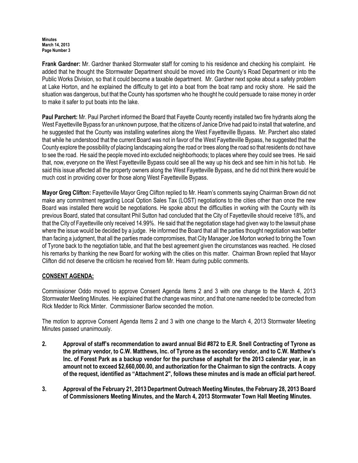Frank Gardner: Mr. Gardner thanked Stormwater staff for coming to his residence and checking his complaint. He added that he thought the Stormwater Department should be moved into the County's Road Department or into the Public Works Division, so that it could become a taxable department. Mr. Gardner next spoke about a safety problem at Lake Horton, and he explained the difficulty to get into a boat from the boat ramp and rocky shore. He said the situation was dangerous, but that the County has sportsmen who he thought he could persuade to raise money in order to make it safer to put boats into the lake.

Paul Parchert: Mr. Paul Parchert informed the Board that Fayette County recently installed two fire hydrants along the West Fayetteville Bypass for an unknown purpose, that the citizens of Janice Drive had paid to install that waterline, and he suggested that the County was installing waterlines along the West Fayetteville Bypass. Mr. Parchert also stated that while he understood that the current Board was not in favor of the West Fayetteville Bypass, he suggested that the County explore the possibility of placing landscaping along the road or trees along the road so that residents do not have to see the road. He said the people moved into excluded neighborhoods; to places where they could see trees. He said that, now, everyone on the West Fayetteville Bypass could see all the way up his deck and see him in his hot tub. He said this issue affected all the property owners along the West Fayetteville Bypass, and he did not think there would be much cost in providing cover for those along West Fayetteville Bypass.

Mayor Greg Clifton: Fayetteville Mayor Greg Clifton replied to Mr. Hearn's comments saying Chairman Brown did not make any commitment regarding Local Option Sales Tax (LOST) negotiations to the cities other than once the new Board was installed there would be negotiations. He spoke about the difficulties in working with the County with its previous Board, stated that consultant Phil Sutton had concluded that the City of Fayetteville should receive 18%, and that the City of Fayetteville only received 14.99%. He said that the negotiation stage had given way to the lawsuit phase where the issue would be decided by a judge. He informed the Board that all the parties thought negotiation was better than facing a judgment, that all the parties made compromises, that City Manager Joe Morton worked to bring the Town of Tyrone back to the negotiation table, and that the best agreement given the circumstances was reached. He closed his remarks by thanking the new Board for working with the cities on this matter. Chairman Brown replied that Mayor Clifton did not deserve the criticism he received from Mr. Hearn during public comments.

## CONSENT AGENDA:

Commissioner Oddo moved to approve Consent Agenda Items 2 and 3 with one change to the March 4, 2013 Stormwater Meeting Minutes. He explained that the change was minor, and that one name needed to be corrected from Rick Medder to Rick Minter. Commissioner Barlow seconded the motion.

The motion to approve Consent Agenda Items 2 and 3 with one change to the March 4, 2013 Stormwater Meeting Minutes passed unanimously.

- 2. Approval of staff's recommendation to award annual Bid #872 to E.R. Snell Contracting of Tyrone as the primary vendor, to C.W. Matthews, Inc. of Tyrone as the secondary vendor, and to C.W. Matthew's Inc. of Forest Park as a backup vendor for the purchase of asphalt for the 2013 calendar year, in an amount not to exceed \$2,660,000.00, and authorization for the Chairman to sign the contracts. A copy of the request, identified as "Attachment 2", follows these minutes and is made an official part hereof.
- 3. Approval of the February 21, 2013 Department Outreach Meeting Minutes, the February 28, 2013 Board of Commissioners Meeting Minutes, and the March 4, 2013 Stormwater Town Hall Meeting Minutes.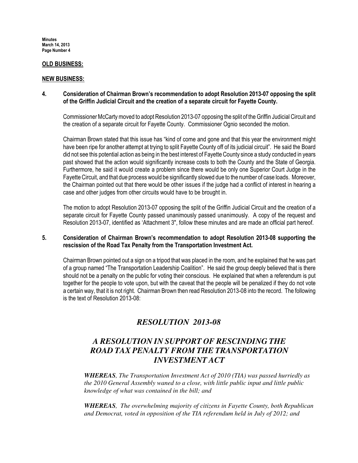### OLD BUSINESS:

### NEW BUSINESS:

### 4. Consideration of Chairman Brown's recommendation to adopt Resolution 2013-07 opposing the split of the Griffin Judicial Circuit and the creation of a separate circuit for Fayette County.

Commissioner McCarty moved to adopt Resolution 2013-07 opposing the split of the Griffin Judicial Circuit and the creation of a separate circuit for Fayette County. Commissioner Ognio seconded the motion.

Chairman Brown stated that this issue has "kind of come and gone and that this year the environment might have been ripe for another attempt at trying to split Fayette County off of its judicial circuit". He said the Board did not see this potential action as being in the best interest of Fayette County since a study conducted in years past showed that the action would significantly increase costs to both the County and the State of Georgia. Furthermore, he said it would create a problem since there would be only one Superior Court Judge in the Fayette Circuit, and that due process would be significantly slowed due to the number of case loads. Moreover, the Chairman pointed out that there would be other issues if the judge had a conflict of interest in hearing a case and other judges from other circuits would have to be brought in.

 The motion to adopt Resolution 2013-07 opposing the split of the Griffin Judicial Circuit and the creation of a separate circuit for Fayette County passed unanimously passed unanimously. A copy of the request and Resolution 2013-07, identified as 'Attachment 3", follow these minutes and are made an official part hereof.

### 5. Consideration of Chairman Brown's recommendation to adopt Resolution 2013-08 supporting the rescission of the Road Tax Penalty from the Transportation Investment Act.

Chairman Brown pointed out a sign on a tripod that was placed in the room, and he explained that he was part of a group named "The Transportation Leadership Coalition". He said the group deeply believed that is there should not be a penalty on the public for voting their conscious. He explained that when a referendum is put together for the people to vote upon, but with the caveat that the people will be penalized if they do not vote a certain way, that it is not right. Chairman Brown then read Resolution 2013-08 into the record. The following is the text of Resolution 2013-08:

# *RESOLUTION 2013-08*

# *A RESOLUTION IN SUPPORT OF RESCINDING THE ROAD TAX PENALTY FROM THE TRANSPORTATION INVESTMENT ACT*

*WHEREAS, The Transportation Investment Act of 2010 (TIA) was passed hurriedly as the 2010 General Assembly waned to a close, with little public input and little public knowledge of what was contained in the bill; and*

*WHEREAS, The overwhelming majority of citizens in Fayette County, both Republican and Democrat, voted in opposition of the TIA referendum held in July of 2012; and*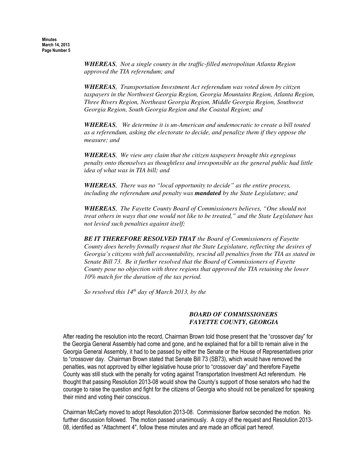*WHEREAS, Not a single county in the traffic-filled metropolitan Atlanta Region approved the TIA referendum; and*

*WHEREAS, Transportation Investment Act referendum was voted down by citizen taxpayers in the Northwest Georgia Region, Georgia Mountains Region, Atlanta Region, Three Rivers Region, Northeast Georgia Region, Middle Georgia Region, Southwest Georgia Region, South Georgia Region and the Coastal Region; and*

*WHEREAS, We determine it is un-American and undemocratic to create a bill touted as a referendum, asking the electorate to decide, and penalize them if they oppose the measure; and*

*WHEREAS, We view any claim that the citizen taxpayers brought this egregious penalty onto themselves as thoughtless and irresponsible as the general public had little idea of what was in TIA bill; and*

*WHEREAS, There was no "local opportunity to decide" as the entire process, including the referendum and penalty was mandated by the State Legislature; and*

*WHEREAS, The Fayette County Board of Commissioners believes, "One should not treat others in ways that one would not like to be treated," and the State Legislature has not levied such penalties against itself;* 

*BE IT THEREFORE RESOLVED THAT the Board of Commissioners of Fayette County does hereby formally request that the State Legislature, reflecting the desires of Georgia's citizens with full accountability, rescind all penalties from the TIA as stated in Senate Bill 73. Be it further resolved that the Board of Commissioners of Fayette County pose no objection with three regions that approved the TIA retaining the lower 10% match for the duration of the tax period.*

*So resolved this 14th day of March 2013, by the*

### *BOARD OF COMMISSIONERS FAYETTE COUNTY, GEORGIA*

After reading the resolution into the record, Chairman Brown told those present that the "crossover day" for the Georgia General Assembly had come and gone, and he explained that for a bill to remain alive in the Georgia General Assembly, it had to be passed by either the Senate or the House of Representatives prior to "crossover day. Chairman Brown stated that Senate Bill 73 (SB73), which would have removed the penalties, was not approved by either legislative house prior to "crossover day" and therefore Fayette County was still stuck with the penalty for voting against Transportation Investment Act referendum. He thought that passing Resolution 2013-08 would show the County's support of those senators who had the courage to raise the question and fight for the citizens of Georgia who should not be penalized for speaking their mind and voting their conscious.

Chairman McCarty moved to adopt Resolution 2013-08. Commissioner Barlow seconded the motion. No further discussion followed. The motion passed unanimously. A copy of the request and Resolution 2013- 08, identified as "Attachment 4", follow these minutes and are made an official part hereof.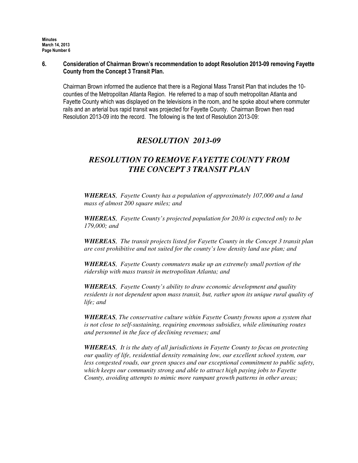### 6. Consideration of Chairman Brown's recommendation to adopt Resolution 2013-09 removing Fayette County from the Concept 3 Transit Plan.

Chairman Brown informed the audience that there is a Regional Mass Transit Plan that includes the 10 counties of the Metropolitan Atlanta Region. He referred to a map of south metropolitan Atlanta and Fayette County which was displayed on the televisions in the room, and he spoke about where commuter rails and an arterial bus rapid transit was projected for Fayette County. Chairman Brown then read Resolution 2013-09 into the record. The following is the text of Resolution 2013-09:

# *RESOLUTION 2013-09*

# *RESOLUTION TO REMOVE FAYETTE COUNTY FROM THE CONCEPT 3 TRANSIT PLAN*

*WHEREAS, Fayette County has a population of approximately 107,000 and a land mass of almost 200 square miles; and* 

*WHEREAS, Fayette County's projected population for 2030 is expected only to be 179,000; and*

*WHEREAS, The transit projects listed for Fayette County in the Concept 3 transit plan are cost prohibitive and not suited for the county's low density land use plan; and*

*WHEREAS, Fayette County commuters make up an extremely small portion of the ridership with mass transit in metropolitan Atlanta; and*

*WHEREAS, Fayette County's ability to draw economic development and quality residents is not dependent upon mass transit, but, rather upon its unique rural quality of life; and*

*WHEREAS, The conservative culture within Fayette County frowns upon a system that is not close to self-sustaining, requiring enormous subsidies, while eliminating routes and personnel in the face of declining revenues; and*

*WHEREAS, It is the duty of all jurisdictions in Fayette County to focus on protecting our quality of life, residential density remaining low, our excellent school system, our less congested roads, our green spaces and our exceptional commitment to public safety, which keeps our community strong and able to attract high paying jobs to Fayette County, avoiding attempts to mimic more rampant growth patterns in other areas;*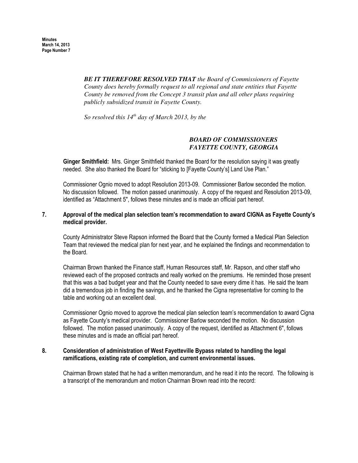> *BE IT THEREFORE RESOLVED THAT the Board of Commissioners of Fayette County does hereby formally request to all regional and state entities that Fayette County be removed from the Concept 3 transit plan and all other plans requiring publicly subsidized transit in Fayette County.*

*So resolved this 14th day of March 2013, by the*

### *BOARD OF COMMISSIONERS FAYETTE COUNTY, GEORGIA*

Ginger Smithfield: Mrs. Ginger Smithfield thanked the Board for the resolution saying it was greatly needed. She also thanked the Board for "sticking to [Fayette County's] Land Use Plan."

Commissioner Ognio moved to adopt Resolution 2013-09. Commissioner Barlow seconded the motion. No discussion followed. The motion passed unanimously. A copy of the request and Resolution 2013-09, identified as "Attachment 5", follows these minutes and is made an official part hereof.

### 7. Approval of the medical plan selection team's recommendation to award CIGNA as Fayette County's medical provider.

County Administrator Steve Rapson informed the Board that the County formed a Medical Plan Selection Team that reviewed the medical plan for next year, and he explained the findings and recommendation to the Board.

Chairman Brown thanked the Finance staff, Human Resources staff, Mr. Rapson, and other staff who reviewed each of the proposed contracts and really worked on the premiums. He reminded those present that this was a bad budget year and that the County needed to save every dime it has. He said the team did a tremendous job in finding the savings, and he thanked the Cigna representative for coming to the table and working out an excellent deal.

Commissioner Ognio moved to approve the medical plan selection team's recommendation to award Cigna as Fayette County's medical provider. Commissioner Barlow seconded the motion. No discussion followed. The motion passed unanimously. A copy of the request, identified as Attachment 6", follows these minutes and is made an official part hereof.

### 8. Consideration of administration of West Fayetteville Bypass related to handling the legal ramifications, existing rate of completion, and current environmental issues.

Chairman Brown stated that he had a written memorandum, and he read it into the record. The following is a transcript of the memorandum and motion Chairman Brown read into the record: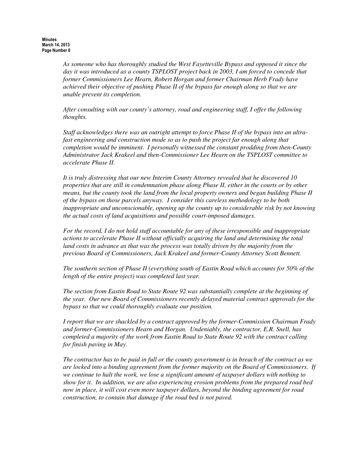*As someone who has thoroughly studied the West Fayetteville Bypass and opposed it since the day it was introduced as a county TSPLOST project back in 2003, I am forced to concede that former Commissioners Lee Hearn, Robert Horgan and former Chairman Herb Frady have achieved their objective of pushing Phase II of the bypass far enough along so that we are unable prevent its completion.*

*After consulting with our county's attorney, road and engineering staff, I offer the following thoughts.*

*Staff acknowledges there was an outright attempt to force Phase II of the bypass into an ultrafast engineering and construction mode so as to push the project far enough along that completion would be imminent. I personally witnessed the constant prodding from then-County Administrator Jack Krakeel and then-Commissioner Lee Hearn on the TSPLOST committee to accelerate Phase II.*

 *It is truly distressing that our new Interim County Attorney revealed that he discovered 10 properties that are still in condemnation phase along Phase II, either in the courts or by other means, but the county took the land from the local property owners and began building Phase II of the bypass on those parcels anyway. I consider this careless methodology to be both inappropriate and unconscionable, opening up the county up to considerable risk by not knowing the actual costs of land acquisitions and possible court-imposed damages.*

*For the record, I do not hold staff accountable for any of these irresponsible and inappropriate actions to accelerate Phase II without officially acquiring the land and determining the total land costs in advance as that was the process was totally driven by the majority from the previous Board of Commissioners, Jack Krakeel and former-County Attorney Scott Bennett.* 

*The southern section of Phase II (everything south of Eastin Road which accounts for 50% of the length of the entire project) was completed last year.*

*The section from Eastin Road to State Route 92 was substantially complete at the beginning of the year. Our new Board of Commissioners recently delayed material contract approvals for the bypass so that we could thoroughly evaluate our position.*

*I report that we are shackled by a contract approved by the former-Commission Chairman Frady and former-Commissioners Hearn and Horgan. Undeniably, the contractor, E.R. Snell, has completed a majority of the work from Eastin Road to State Route 92 with the contract calling for finish paving in May.*

*The contractor has to be paid in full or the county government is in breach of the contract as we are locked into a binding agreement from the former majority on the Board of Commissioners. If we continue to halt the work, we lose a significant amount of taxpayer dollars with nothing to show for it. In addition, we are also experiencing erosion problems from the prepared road bed now in place, it will cost even more taxpayer dollars, beyond the binding agreement for road construction, to contain that damage if the road bed is not paved.*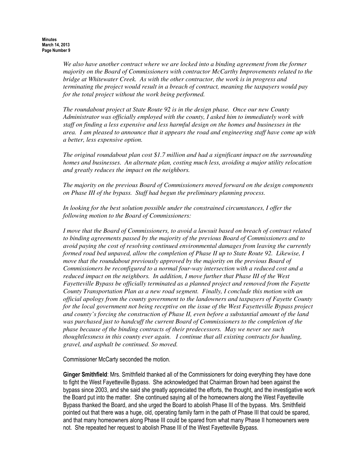*We also have another contract where we are locked into a binding agreement from the former majority on the Board of Commissioners with contractor McCarthy Improvements related to the bridge at Whitewater Creek. As with the other contractor, the work is in progress and terminating the project would result in a breach of contract, meaning the taxpayers would pay for the total project without the work being performed.*

*The roundabout project at State Route 92 is in the design phase. Once our new County Administrator was officially employed with the county, I asked him to immediately work with staff on finding a less expensive and less harmful design on the homes and businesses in the area. I am pleased to announce that it appears the road and engineering staff have come up with a better, less expensive option.*

*The original roundabout plan cost \$1.7 million and had a significant impact on the surrounding homes and businesses. An alternate plan, costing much less, avoiding a major utility relocation and greatly reduces the impact on the neighbors.*

*The majority on the previous Board of Commissioners moved forward on the design components on Phase III of the bypass. Staff had begun the preliminary planning process.*

*In looking for the best solution possible under the constrained circumstances, I offer the following motion to the Board of Commissioners:*

*I move that the Board of Commissioners, to avoid a lawsuit based on breach of contract related to binding agreements passed by the majority of the previous Board of Commissioners and to avoid paying the cost of resolving continued environmental damages from leaving the currently formed road bed unpaved, allow the completion of Phase II up to State Route 92. Likewise, I move that the roundabout previously approved by the majority on the previous Board of Commissioners be reconfigured to a normal four-way intersection with a reduced cost and a reduced impact on the neighbors. In addition, I move further that Phase III of the West Fayetteville Bypass be officially terminated as a planned project and removed from the Fayette County Transportation Plan as a new road segment. Finally, I conclude this motion with an official apology from the county government to the landowners and taxpayers of Fayette County for the local government not being receptive on the issue of the West Fayetteville Bypass project and county's forcing the construction of Phase II, even before a substantial amount of the land was purchased just to handcuff the current Board of Commissioners to the completion of the phase because of the binding contracts of their predecessors. May we never see such thoughtlessness in this county ever again. I continue that all existing contracts for hauling, gravel, and asphalt be continued. So moved.*

Commissioner McCarty seconded the motion.

Ginger Smithfield: Mrs. Smithfield thanked all of the Commissioners for doing everything they have done to fight the West Fayetteville Bypass. She acknowledged that Chairman Brown had been against the bypass since 2003, and she said she greatly appreciated the efforts, the thought, and the investigative work the Board put into the matter. She continued saying all of the homeowners along the West Fayetteville Bypass thanked the Board, and she urged the Board to abolish Phase III of the bypass. Mrs. Smithfield pointed out that there was a huge, old, operating family farm in the path of Phase III that could be spared, and that many homeowners along Phase III could be spared from what many Phase II homeowners were not. She repeated her request to abolish Phase III of the West Fayetteville Bypass.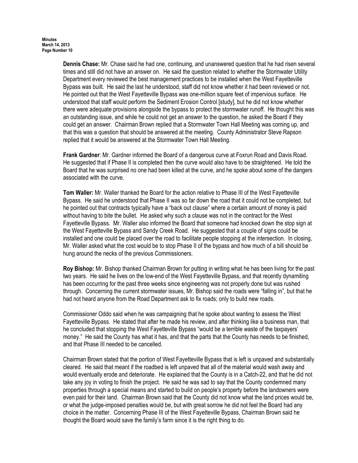Dennis Chase: Mr. Chase said he had one, continuing, and unanswered question that he had risen several times and still did not have an answer on. He said the question related to whether the Stormwater Utility Department every reviewed the best management practices to be installed when the West Fayetteville Bypass was built. He said the last he understood, staff did not know whether it had been reviewed or not. He pointed out that the West Fayetteville Bypass was one-million square feet of impervious surface. He understood that staff would perform the Sediment Erosion Control [study], but he did not know whether there were adequate provisions alongside the bypass to protect the stormwater runoff. He thought this was an outstanding issue, and while he could not get an answer to the question, he asked the Board if they could get an answer. Chairman Brown replied that a Stormwater Town Hall Meeting was coming up, and that this was a question that should be answered at the meeting. County Administrator Steve Rapson replied that it would be answered at the Stormwater Town Hall Meeting.

Frank Gardner: Mr. Gardner informed the Board of a dangerous curve at Foxrun Road and Davis Road. He suggested that if Phase II is completed then the curve would also have to be straightened. He told the Board that he was surprised no one had been killed at the curve, and he spoke about some of the dangers associated with the curve.

Tom Waller: Mr. Waller thanked the Board for the action relative to Phase III of the West Fayetteville Bypass. He said he understood that Phase II was so far down the road that it could not be completed, but he pointed out that contracts typically have a "back out clause" where a certain amount of money is paid without having to bite the bullet. He asked why such a clause was not in the contract for the West Fayetteville Bypass. Mr. Waller also informed the Board that someone had knocked down the stop sign at the West Fayetteville Bypass and Sandy Creek Road. He suggested that a couple of signs could be installed and one could be placed over the road to facilitate people stopping at the intersection. In closing, Mr. Waller asked what the cost would be to stop Phase II of the bypass and how much of a bill should be hung around the necks of the previous Commissioners.

Roy Bishop: Mr. Bishop thanked Chairman Brown for putting in writing what he has been living for the past two years. He said he lives on the low-end of the West Fayetteville Bypass, and that recently dynamiting has been occurring for the past three weeks since engineering was not properly done but was rushed through. Concerning the current stormwater issues, Mr. Bishop said the roads were "falling in", but that he had not heard anyone from the Road Department ask to fix roads; only to build new roads.

Commissioner Oddo said when he was campaigning that he spoke about wanting to assess the West Fayetteville Bypass. He stated that after he made his review, and after thinking like a business man, that he concluded that stopping the West Fayetteville Bypass "would be a terrible waste of the taxpayers' money." He said the County has what it has, and that the parts that the County has needs to be finished, and that Phase III needed to be cancelled.

Chairman Brown stated that the portion of West Fayetteville Bypass that is left is unpaved and substantially cleared. He said that meant if the roadbed is left unpaved that all of the material would wash away and would eventually erode and deteriorate. He explained that the County is in a Catch-22, and that he did not take any joy in voting to finish the project. He said he was sad to say that the County condemned many properties through a special means and started to build on people's property before the landowners were even paid for their land. Chairman Brown said that the County did not know what the land prices would be, or what the judge-imposed penalties would be, but with great sorrow he did not feel the Board had any choice in the matter. Concerning Phase III of the West Fayetteville Bypass, Chairman Brown said he thought the Board would save the family's farm since it is the right thing to do.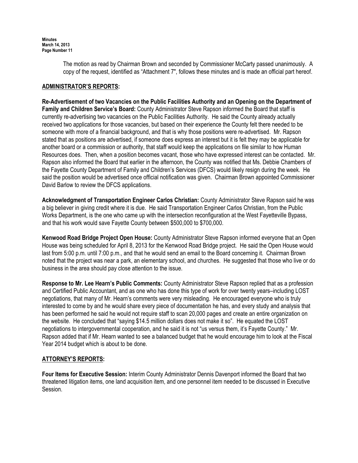The motion as read by Chairman Brown and seconded by Commissioner McCarty passed unanimously. A copy of the request, identified as "Attachment 7", follows these minutes and is made an official part hereof.

### ADMINISTRATOR'S REPORTS:

Re-Advertisement of two Vacancies on the Public Facilities Authority and an Opening on the Department of Family and Children Service's Board: County Administrator Steve Rapson informed the Board that staff is currently re-advertising two vacancies on the Public Facilities Authority. He said the County already actually received two applications for those vacancies, but based on their experience the County felt there needed to be someone with more of a financial background, and that is why those positions were re-advertised. Mr. Rapson stated that as positions are advertised, if someone does express an interest but it is felt they may be applicable for another board or a commission or authority, that staff would keep the applications on file similar to how Human Resources does. Then, when a position becomes vacant, those who have expressed interest can be contacted. Mr. Rapson also informed the Board that earlier in the afternoon, the County was notified that Ms. Debbie Chambers of the Fayette County Department of Family and Children's Services (DFCS) would likely resign during the week. He said the position would be advertised once official notification was given. Chairman Brown appointed Commissioner David Barlow to review the DFCS applications.

Acknowledgment of Transportation Engineer Carlos Christian: County Administrator Steve Rapson said he was a big believer in giving credit where it is due. He said Transportation Engineer Carlos Christian, from the Public Works Department, is the one who came up with the intersection reconfiguration at the West Fayetteville Bypass, and that his work would save Fayette County between \$500,000 to \$700,000.

Kenwood Road Bridge Project Open House: County Administrator Steve Rapson informed everyone that an Open House was being scheduled for April 8, 2013 for the Kenwood Road Bridge project. He said the Open House would last from 5:00 p.m. until 7:00 p.m., and that he would send an email to the Board concerning it. Chairman Brown noted that the project was near a park, an elementary school, and churches. He suggested that those who live or do business in the area should pay close attention to the issue.

Response to Mr. Lee Hearn's Public Comments: County Administrator Steve Rapson replied that as a profession and Certified Public Accountant, and as one who has done this type of work for over twenty years–including LOST negotiations, that many of Mr. Hearn's comments were very misleading. He encouraged everyone who is truly interested to come by and he would share every piece of documentation he has, and every study and analysis that has been performed he said he would not require staff to scan 20,000 pages and create an entire organization on the website. He concluded that "saying \$14.5 million dollars does not make it so". He equated the LOST negotiations to intergovernmental cooperation, and he said it is not "us versus them, it's Fayette County." Mr. Rapson added that if Mr. Hearn wanted to see a balanced budget that he would encourage him to look at the Fiscal Year 2014 budget which is about to be done.

## ATTORNEY'S REPORTS:

Four Items for Executive Session: Interim County Administrator Dennis Davenport informed the Board that two threatened litigation items, one land acquisition item, and one personnel item needed to be discussed in Executive Session.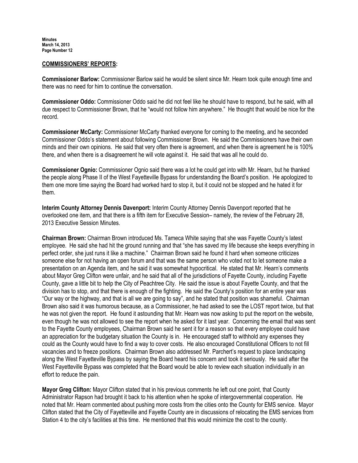### COMMISSIONERS' REPORTS:

Commissioner Barlow: Commissioner Barlow said he would be silent since Mr. Hearn took quite enough time and there was no need for him to continue the conversation.

Commissioner Oddo: Commissioner Oddo said he did not feel like he should have to respond, but he said, with all due respect to Commissioner Brown, that he "would not follow him anywhere." He thought that would be nice for the record.

Commissioner McCarty: Commissioner McCarty thanked everyone for coming to the meeting, and he seconded Commissioner Oddo's statement about following Commissioner Brown. He said the Commissioners have their own minds and their own opinions. He said that very often there is agreement, and when there is agreement he is 100% there, and when there is a disagreement he will vote against it. He said that was all he could do.

Commissioner Ognio: Commissioner Ognio said there was a lot he could get into with Mr. Hearn, but he thanked the people along Phase II of the West Fayetteville Bypass for understanding the Board's position. He apologized to them one more time saying the Board had worked hard to stop it, but it could not be stopped and he hated it for them.

Interim County Attorney Dennis Davenport: Interim County Attorney Dennis Davenport reported that he overlooked one item, and that there is a fifth item for Executive Session– namely, the review of the February 28, 2013 Executive Session Minutes.

Chairman Brown: Chairman Brown introduced Ms. Tameca White saying that she was Fayette County's latest employee. He said she had hit the ground running and that "she has saved my life because she keeps everything in perfect order, she just runs it like a machine." Chairman Brown said he found it hard when someone criticizes someone else for not having an open forum and that was the same person who voted not to let someone make a presentation on an Agenda item, and he said it was somewhat hypocritical. He stated that Mr. Hearn's comments about Mayor Greg Clifton were unfair, and he said that all of the jurisdictions of Fayette County, including Fayette County, gave a little bit to help the City of Peachtree City. He said the issue is about Fayette County, and that the division has to stop, and that there is enough of the fighting. He said the County's position for an entire year was "Our way or the highway, and that is all we are going to say", and he stated that position was shameful. Chairman Brown also said it was humorous because, as a Commissioner, he had asked to see the LOST report twice, but that he was not given the report. He found it astounding that Mr. Hearn was now asking to put the report on the website, even though he was not allowed to see the report when he asked for it last year. Concerning the email that was sent to the Fayette County employees, Chairman Brown said he sent it for a reason so that every employee could have an appreciation for the budgetary situation the County is in. He encouraged staff to withhold any expenses they could as the County would have to find a way to cover costs. He also encouraged Constitutional Officers to not fill vacancies and to freeze positions. Chairman Brown also addressed Mr. Parchert's request to place landscaping along the West Fayetteville Bypass by saying the Board heard his concern and took it seriously. He said after the West Fayetteville Bypass was completed that the Board would be able to review each situation individually in an effort to reduce the pain.

Mayor Greg Clifton: Mayor Clifton stated that in his previous comments he left out one point, that County Administrator Rapson had brought it back to his attention when he spoke of intergovernmental cooperation. He noted that Mr. Hearn commented about pushing more costs from the cities onto the County for EMS service. Mayor Clifton stated that the City of Fayetteville and Fayette County are in discussions of relocating the EMS services from Station 4 to the city's facilities at this time. He mentioned that this would minimize the cost to the county.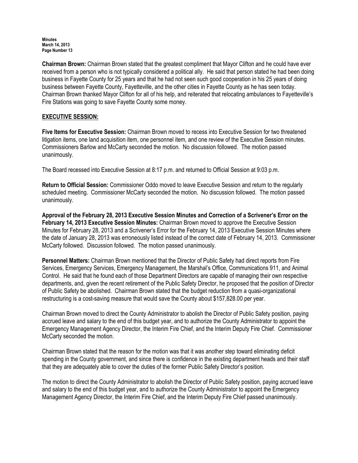Chairman Brown: Chairman Brown stated that the greatest compliment that Mayor Clifton and he could have ever received from a person who is not typically considered a political ally. He said that person stated he had been doing business in Fayette County for 25 years and that he had not seen such good cooperation in his 25 years of doing business between Fayette County, Fayetteville, and the other cities in Fayette County as he has seen today. Chairman Brown thanked Mayor Clifton for all of his help, and reiterated that relocating ambulances to Fayetteville's Fire Stations was going to save Fayette County some money.

## EXECUTIVE SESSION:

Five Items for Executive Session: Chairman Brown moved to recess into Executive Session for two threatened litigation items, one land acquisition item, one personnel item, and one review of the Executive Session minutes. Commissioners Barlow and McCarty seconded the motion. No discussion followed. The motion passed unanimously.

The Board recessed into Executive Session at 8:17 p.m. and returned to Official Session at 9:03 p.m.

Return to Official Session: Commissioner Oddo moved to leave Executive Session and return to the regularly scheduled meeting. Commissioner McCarty seconded the motion. No discussion followed. The motion passed unanimously.

Approval of the February 28, 2013 Executive Session Minutes and Correction of a Scrivener's Error on the February 14, 2013 Executive Session Minutes: Chairman Brown moved to approve the Executive Session Minutes for February 28, 2013 and a Scrivener's Error for the February 14, 2013 Executive Session Minutes where the date of January 28, 2013 was erroneously listed instead of the correct date of February 14, 2013. Commissioner McCarty followed. Discussion followed. The motion passed unanimously.

Personnel Matters: Chairman Brown mentioned that the Director of Public Safety had direct reports from Fire Services, Emergency Services, Emergency Management, the Marshal's Office, Communications 911, and Animal Control. He said that he found each of those Department Directors are capable of managing their own respective departments, and, given the recent retirement of the Public Safety Director, he proposed that the position of Director of Public Safety be abolished. Chairman Brown stated that the budget reduction from a quasi-organizational restructuring is a cost-saving measure that would save the County about \$157,828.00 per year.

Chairman Brown moved to direct the County Administrator to abolish the Director of Public Safety position, paying accrued leave and salary to the end of this budget year, and to authorize the County Administrator to appoint the Emergency Management Agency Director, the Interim Fire Chief, and the Interim Deputy Fire Chief. Commissioner McCarty seconded the motion.

Chairman Brown stated that the reason for the motion was that it was another step toward eliminating deficit spending in the County government, and since there is confidence in the existing department heads and their staff that they are adequately able to cover the duties of the former Public Safety Director's position.

The motion to direct the County Administrator to abolish the Director of Public Safety position, paying accrued leave and salary to the end of this budget year, and to authorize the County Administrator to appoint the Emergency Management Agency Director, the Interim Fire Chief, and the Interim Deputy Fire Chief passed unanimously.